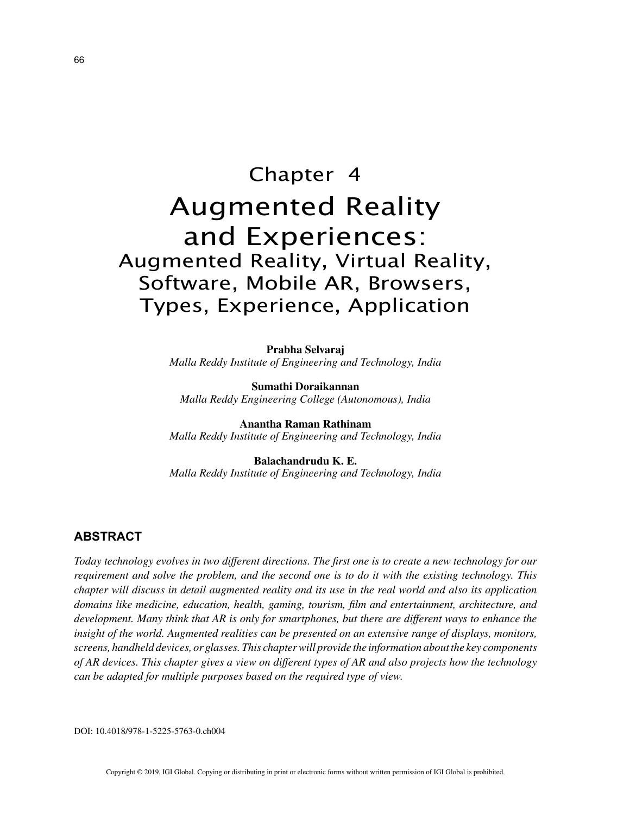# Chapter 4 Augmented Reality and Experiences: Augmented Reality, Virtual Reality, Software, Mobile AR, Browsers, Types, Experience, Application

**Prabha Selvaraj** *Malla Reddy Institute of Engineering and Technology, India*

**Sumathi Doraikannan** *Malla Reddy Engineering College (Autonomous), India*

**Anantha Raman Rathinam** *Malla Reddy Institute of Engineering and Technology, India*

**Balachandrudu K. E.** *Malla Reddy Institute of Engineering and Technology, India*

## **ABSTRACT**

*Today technology evolves in two different directions. The first one is to create a new technology for our requirement and solve the problem, and the second one is to do it with the existing technology. This chapter will discuss in detail augmented reality and its use in the real world and also its application domains like medicine, education, health, gaming, tourism, film and entertainment, architecture, and development. Many think that AR is only for smartphones, but there are different ways to enhance the insight of the world. Augmented realities can be presented on an extensive range of displays, monitors, screens, handheld devices, or glasses. This chapter will provide the information about the key components of AR devices. This chapter gives a view on different types of AR and also projects how the technology can be adapted for multiple purposes based on the required type of view.*

DOI: 10.4018/978-1-5225-5763-0.ch004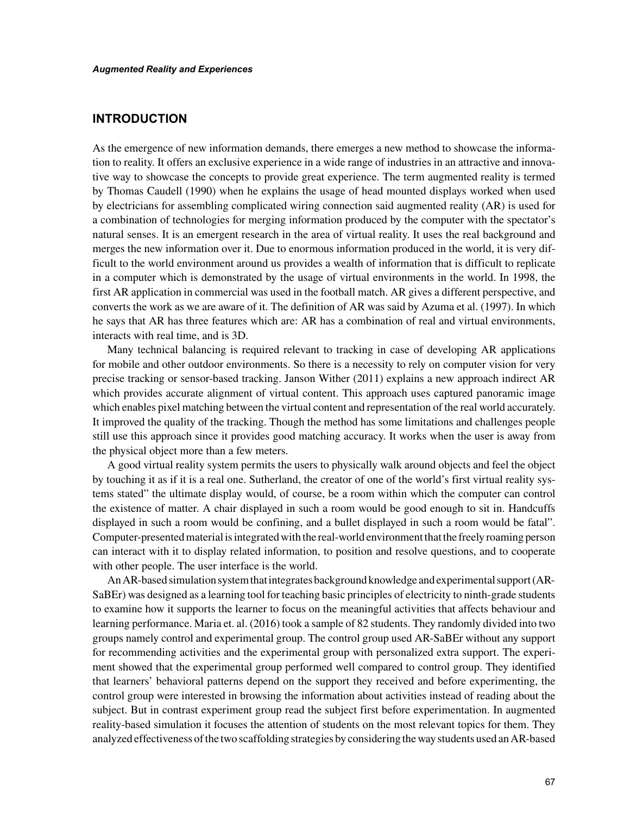## **INTRODUCTION**

As the emergence of new information demands, there emerges a new method to showcase the information to reality. It offers an exclusive experience in a wide range of industries in an attractive and innovative way to showcase the concepts to provide great experience. The term augmented reality is termed by Thomas Caudell (1990) when he explains the usage of head mounted displays worked when used by electricians for assembling complicated wiring connection said augmented reality (AR) is used for a combination of technologies for merging information produced by the computer with the spectator's natural senses. It is an emergent research in the area of virtual reality. It uses the real background and merges the new information over it. Due to enormous information produced in the world, it is very difficult to the world environment around us provides a wealth of information that is difficult to replicate in a computer which is demonstrated by the usage of virtual environments in the world. In 1998, the first AR application in commercial was used in the football match. AR gives a different perspective, and converts the work as we are aware of it. The definition of AR was said by Azuma et al. (1997). In which he says that AR has three features which are: AR has a combination of real and virtual environments, interacts with real time, and is 3D.

Many technical balancing is required relevant to tracking in case of developing AR applications for mobile and other outdoor environments. So there is a necessity to rely on computer vision for very precise tracking or sensor-based tracking. Janson Wither (2011) explains a new approach indirect AR which provides accurate alignment of virtual content. This approach uses captured panoramic image which enables pixel matching between the virtual content and representation of the real world accurately. It improved the quality of the tracking. Though the method has some limitations and challenges people still use this approach since it provides good matching accuracy. It works when the user is away from the physical object more than a few meters.

A good virtual reality system permits the users to physically walk around objects and feel the object by touching it as if it is a real one. Sutherland, the creator of one of the world's first virtual reality systems stated" the ultimate display would, of course, be a room within which the computer can control the existence of matter. A chair displayed in such a room would be good enough to sit in. Handcuffs displayed in such a room would be confining, and a bullet displayed in such a room would be fatal". Computer-presented material is integrated with the real-world environment that the freely roaming person can interact with it to display related information, to position and resolve questions, and to cooperate with other people. The user interface is the world.

An AR-based simulation system that integrates background knowledge and experimental support (AR-SaBEr) was designed as a learning tool for teaching basic principles of electricity to ninth-grade students to examine how it supports the learner to focus on the meaningful activities that affects behaviour and learning performance. Maria et. al. (2016) took a sample of 82 students. They randomly divided into two groups namely control and experimental group. The control group used AR-SaBEr without any support for recommending activities and the experimental group with personalized extra support. The experiment showed that the experimental group performed well compared to control group. They identified that learners' behavioral patterns depend on the support they received and before experimenting, the control group were interested in browsing the information about activities instead of reading about the subject. But in contrast experiment group read the subject first before experimentation. In augmented reality-based simulation it focuses the attention of students on the most relevant topics for them. They analyzed effectiveness of the two scaffolding strategies by considering the way students used an AR-based